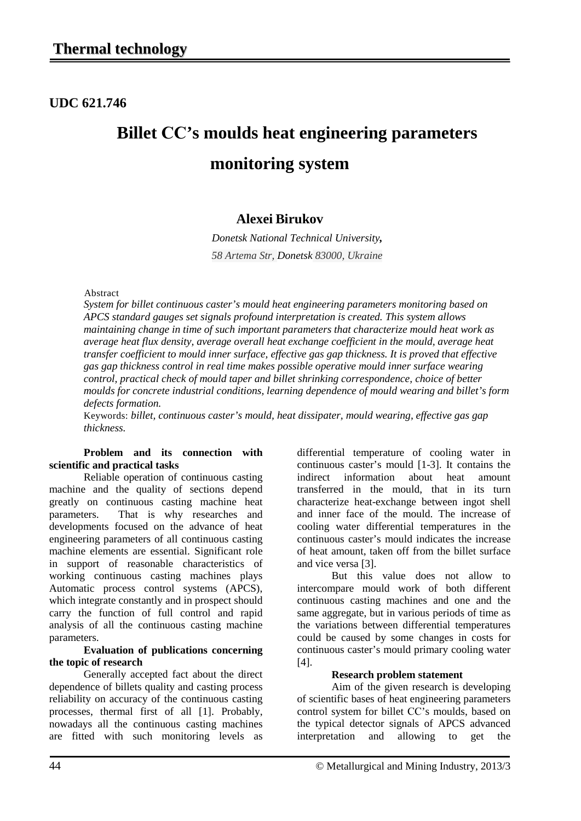**UDC 621.746**

# **Billet СС's moulds heat engineering parameters monitoring system**

## **Alexei Birukov**

*Donetsk National Technical University, 58 Artema Str, Donetsk 83000, Ukraine*

#### Abstract

*System for billet continuous caster's mould heat engineering parameters monitoring based on APCS standard gauges set signals profound interpretation is created. This system allows maintaining change in time of such important parameters that characterize mould heat work as average heat flux density, average overall heat exchange coefficient in the mould, average heat transfer coefficient to mould inner surface, effective gas gap thickness. It is proved that effective gas gap thickness control in real time makes possible operative mould inner surface wearing control, practical check of mould taper and billet shrinking correspondence, choice of better moulds for concrete industrial conditions, learning dependence of mould wearing and billet's form defects formation.* 

Keywords: *billet, continuous caster's mould, heat dissipater, mould wearing, effective gas gap thickness.*

#### **Problem and its connection with scientific and practical tasks**

Reliable operation of continuous casting machine and the quality of sections depend greatly on continuous casting machine heat parameters. That is why researches and developments focused on the advance of heat engineering parameters of all continuous casting machine elements are essential. Significant role in support of reasonable characteristics of working continuous casting machines plays Automatic process control systems (APCS), which integrate constantly and in prospect should carry the function of full control and rapid analysis of all the continuous casting machine parameters.

#### **Evaluation of publications concerning the topic of research**

Generally accepted fact about the direct dependence of billets quality and casting process reliability on accuracy of the continuous casting processes, thermal first of all [1]. Probably, nowadays all the continuous casting machines are fitted with such monitoring levels as

differential temperature of cooling water in continuous caster's mould [1-3]. It contains the indirect information about heat amount indirect information about heat transferred in the mould, that in its turn characterize heat-exchange between ingot shell and inner face of the mould. The increase of cooling water differential temperatures in the continuous caster's mould indicates the increase of heat amount, taken off from the billet surface and vice versa [3].

But this value does not allow to intercompare mould work of both different continuous casting machines and one and the same aggregate, but in various periods of time as the variations between differential temperatures could be caused by some changes in costs for continuous caster's mould primary cooling water [4].

#### **Research problem statement**

Aim of the given research is developing of scientific bases of heat engineering parameters control system for billet СС's moulds, based on the typical detector signals of APCS advanced interpretation and allowing to get the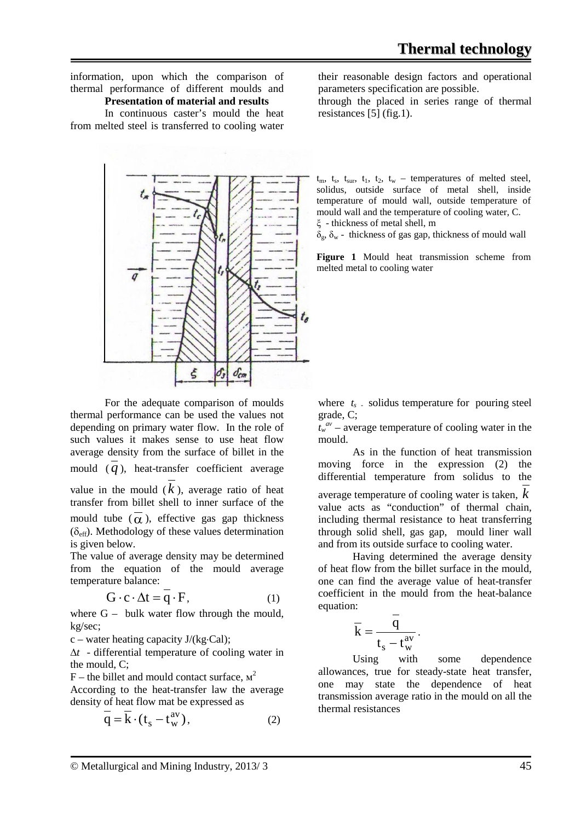information, upon which the comparison of thermal performance of different moulds and

#### **Presentation of material and results**

In continuous caster's mould the heat from melted steel is transferred to cooling water



For the adequate comparison of moulds thermal performance can be used the values not depending on primary water flow. In the role of such values it makes sense to use heat flow average density from the surface of billet in the mould  $(q)$ , heat-transfer coefficient average value in the mould  $(k)$ , average ratio of heat transfer from billet shell to inner surface of the mould tube  $(\overline{\alpha})$ , effective gas gap thickness  $(\delta_{\text{eff}})$ . Methodology of these values determination is given below.

The value of average density may be determined from the equation of the mould average temperature balance:

$$
G \cdot c \cdot \Delta t = q \cdot F,\tag{1}
$$

where  $G -$  bulk water flow through the mould, kg/sec;

c – water heating capacity J/(kg⋅Cal);

∆*t* - differential temperature of cooling water in the mould, C;

 $F$  – the billet and mould contact surface,  $M^2$ 

According to the heat-transfer law the average density of heat flow mat be expressed as

$$
\overline{\mathbf{q}} = \overline{\mathbf{k}} \cdot (\mathbf{t}_{\mathbf{s}} - \mathbf{t}_{\mathbf{w}}^{\text{av}}), \tag{2}
$$

their reasonable design factors and operational parameters specification are possible.

through the placed in series range of thermal resistances  $\overline{5}$  (fig.1).

 $t_m$ ,  $t_s$ ,  $t_{sur}$ ,  $t_1$ ,  $t_2$ ,  $t_w$  – temperatures of melted steel. solidus, outside surface of metal shell, inside temperature of mould wall, outside temperature of mould wall and the temperature of cooling water, C. ξ - thickness of metal shell, m

 $\delta_{\varphi}$ ,  $\delta_{\rm w}$  - thickness of gas gap, thickness of mould wall

**Figure 1** Mould heat transmission scheme from melted metal to cooling water

where  $t_s$  solidus temperature for pouring steel grade, C;

 $t_w^{av}$  – average temperature of cooling water in the mould.

As in the function of heat transmission moving force in the expression (2) the differential temperature from solidus to the average temperature of cooling water is taken, *k* value acts as "conduction" of thermal chain, including thermal resistance to heat transferring through solid shell, gas gap, mould liner wall and from its outside surface to cooling water.

Having determined the average density of heat flow from the billet surface in the mould, one can find the average value of heat-transfer coefficient in the mould from the heat-balance equation:

$$
\overline{\mathbf{k}} = \frac{\mathbf{q}}{\mathbf{t}_{\mathrm{s}} - \mathbf{t}_{\mathrm{w}}^{\mathrm{av}}}.
$$

Using with some dependence allowances, true for steady-state heat transfer, one may state the dependence of heat transmission average ratio in the mould on all the thermal resistances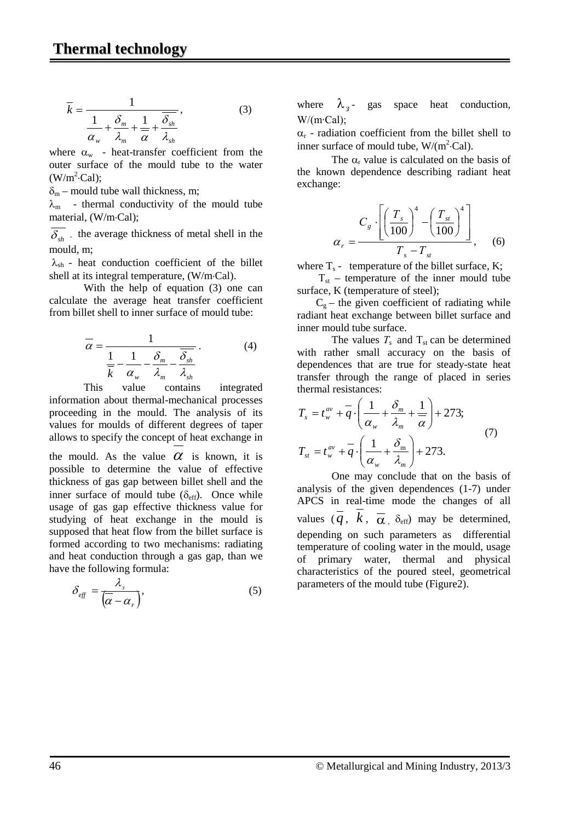$$
\overline{k} = \frac{1}{\frac{1}{\alpha_w} + \frac{\delta_m}{\lambda_m} + \frac{1}{\overline{\alpha}} + \frac{\overline{\delta_{sh}}}{\lambda_{sh}}},
$$
(3)

where  $\alpha_w$  - heat-transfer coefficient from the outer surface of the mould tube to the water  $(W/m^2 \text{-Cal})$ ;

 $\delta_{\rm m}$  – mould tube wall thickness, m;

 $\lambda_{\rm m}$  - thermal conductivity of the mould tube material, (W/m⋅Cal);

 $\delta_{sh}$  - the average thickness of metal shell in the mould, m;

 $\lambda_{\rm sh}$  - heat conduction coefficient of the billet shell at its integral temperature, (W/m⋅Cal).

With the help of equation (3) one can calculate the average heat transfer coefficient from billet shell to inner surface of mould tube:

$$
\overline{\alpha} = \frac{1}{\frac{1}{\overline{k}} - \frac{1}{\alpha_w} - \frac{\delta_m}{\lambda_m} - \frac{\overline{\delta_{sh}}}{\lambda_{sh}}}.
$$
(4)

This value contains integrated information about thermal-mechanical processes proceeding in the mould. The analysis of its values for moulds of different degrees of taper allows to specify the concept of heat exchange in the mould. As the value  $\alpha$  is known, it is possible to determine the value of effective thickness of gas gap between billet shell and the inner surface of mould tube  $(\delta_{\text{eff}})$ . Once while usage of gas gap effective thickness value for studying of heat exchange in the mould is supposed that heat flow from the billet surface is formed according to two mechanisms: radiating and heat conduction through a gas gap, than we have the following formula:

$$
\delta_{\text{eff}} = \frac{\lambda_s}{\left(\overline{\alpha} - \alpha_r\right)},\tag{5}
$$

where  $\lambda_{3}$ - gas space heat conduction, W/(m∙Cal);

 $\alpha_r$  - radiation coefficient from the billet shell to inner surface of mould tube,  $W/(m^2 \text{Cal})$ .

The  $\alpha_r$  value is calculated on the basis of the known dependence describing radiant heat exchange:

$$
\alpha_r = \frac{C_s \cdot \left[ \left( \frac{T_s}{100} \right)^4 - \left( \frac{T_{st}}{100} \right)^4 \right]}{T_s - T_{st}}, \quad (6)
$$

where  $T_s$  - temperature of the billet surface, K;

 $T_{st}$  – temperature of the inner mould tube surface, K (temperature of steel);

 $C_{\varphi}$  – the given coefficient of radiating while radiant heat exchange between billet surface and inner mould tube surface.

The values  $T_s$  and  $T_{st}$  can be determined with rather small accuracy on the basis of dependences that are true for steady-state heat transfer through the range of placed in series thermal resistances:

$$
T_s = t_w^{av} + \overline{q} \cdot \left(\frac{1}{\alpha_w} + \frac{\delta_m}{\lambda_m} + \frac{1}{\overline{\alpha}}\right) + 273;
$$
  
\n
$$
T_{st} = t_w^{av} + \overline{q} \cdot \left(\frac{1}{\alpha_w} + \frac{\delta_m}{\lambda_m}\right) + 273.
$$
 (7)

One may conclude that on the basis of analysis of the given dependences (1-7) under APCS in real-time mode the changes of all values  $\overline{q}$ ,  $\overline{k}$ ,  $\overline{\alpha}$ ,  $\delta_{\text{eff}}$  may be determined, depending on such parameters as differential temperature of cooling water in the mould, usage of primary water, thermal and physical characteristics of the poured steel, geometrical parameters of the mould tube (Figure2).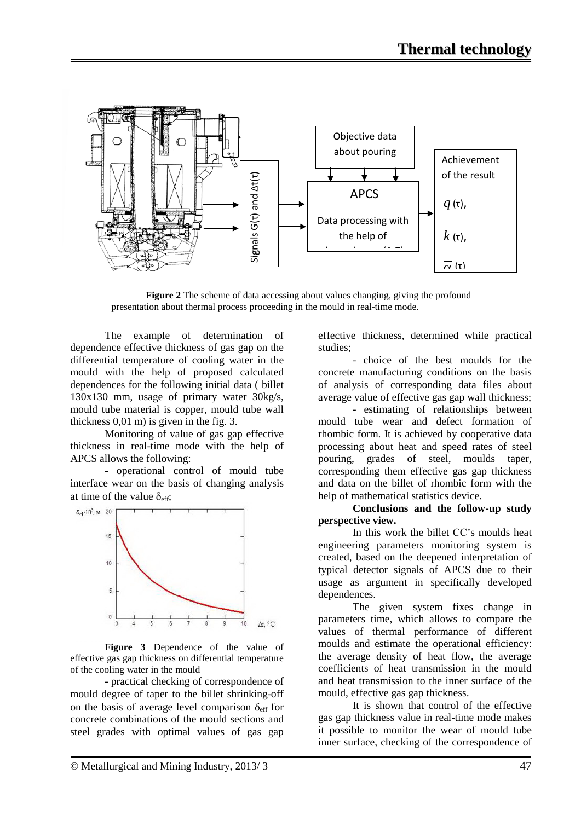

**Figure 2** The scheme of data accessing about values changing, giving the profound presentation about thermal process proceeding in the mould in real-time mode.

The example of determination of dependence effective thickness of gas gap on the differential temperature of cooling water in the mould with the help of proposed calculated dependences for the following initial data ( billet 130х130 mm, usage of primary water 30kg/s, mould tube material is copper, mould tube wall thickness 0,01 m) is given in the fig. 3.

Monitoring of value of gas gap effective thickness in real-time mode with the help of APCS allows the following:

- operational control of mould tube interface wear on the basis of changing analysis at time of the value  $\delta_{\text{eff}}$ ;



**Figure 3** Dependence of the value of effective gas gap thickness on differential temperature of the cooling water in the mould

- practical checking of correspondence of mould degree of taper to the billet shrinking-off on the basis of average level comparison  $\delta_{\text{eff}}$  for concrete combinations of the mould sections and steel grades with optimal values of gas gap

effective thickness, determined while practical studies;

- choice of the best moulds for the concrete manufacturing conditions on the basis of analysis of corresponding data files about average value of effective gas gap wall thickness;

- estimating of relationships between mould tube wear and defect formation of rhombic form. It is achieved by cooperative data processing about heat and speed rates of steel pouring, grades of steel, moulds taper, corresponding them effective gas gap thickness and data on the billet of rhombic form with the help of mathematical statistics device.

**Conclusions and the follow-up study perspective view.**

In this work the billet СС's moulds heat engineering parameters monitoring system is created, based on the deepened interpretation of typical detector signals of APCS due to their usage as argument in specifically developed dependences.

The given system fixes change in parameters time, which allows to compare the values of thermal performance of different moulds and estimate the operational efficiency: the average density of heat flow, the average coefficients of heat transmission in the mould and heat transmission to the inner surface of the mould, effective gas gap thickness.

It is shown that control of the effective gas gap thickness value in real-time mode makes it possible to monitor the wear of mould tube inner surface, checking of the correspondence of